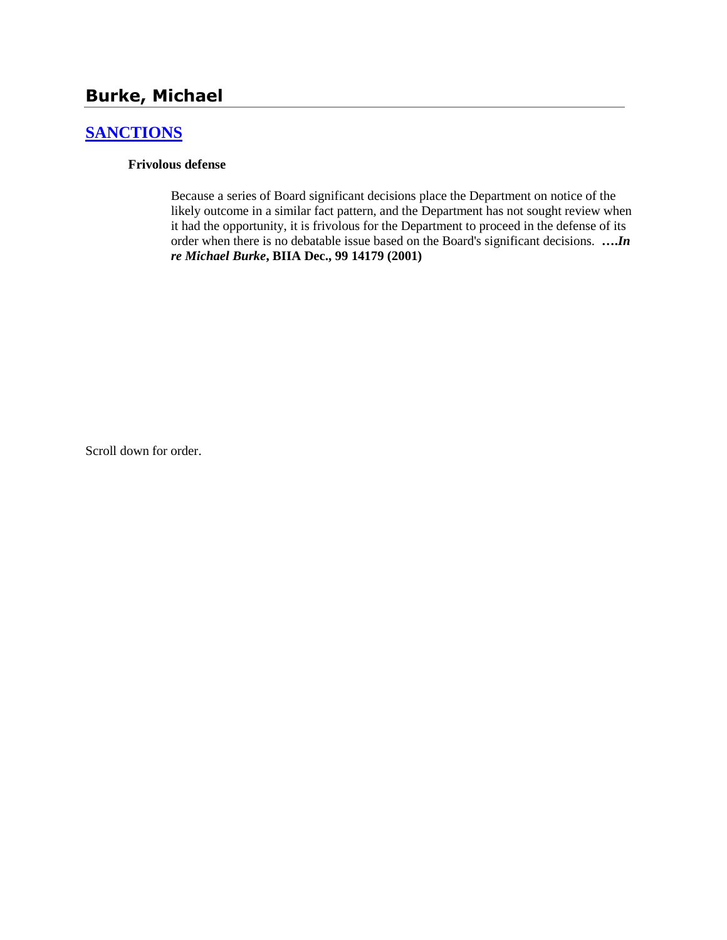# **Burke, Michael**

## **[SANCTIONS](http://www.biia.wa.gov/SDSubjectIndex.html#SANCTIONS)**

#### **Frivolous defense**

Because a series of Board significant decisions place the Department on notice of the likely outcome in a similar fact pattern, and the Department has not sought review when it had the opportunity, it is frivolous for the Department to proceed in the defense of its order when there is no debatable issue based on the Board's significant decisions. **….***In re Michael Burke***, BIIA Dec., 99 14179 (2001)**

Scroll down for order.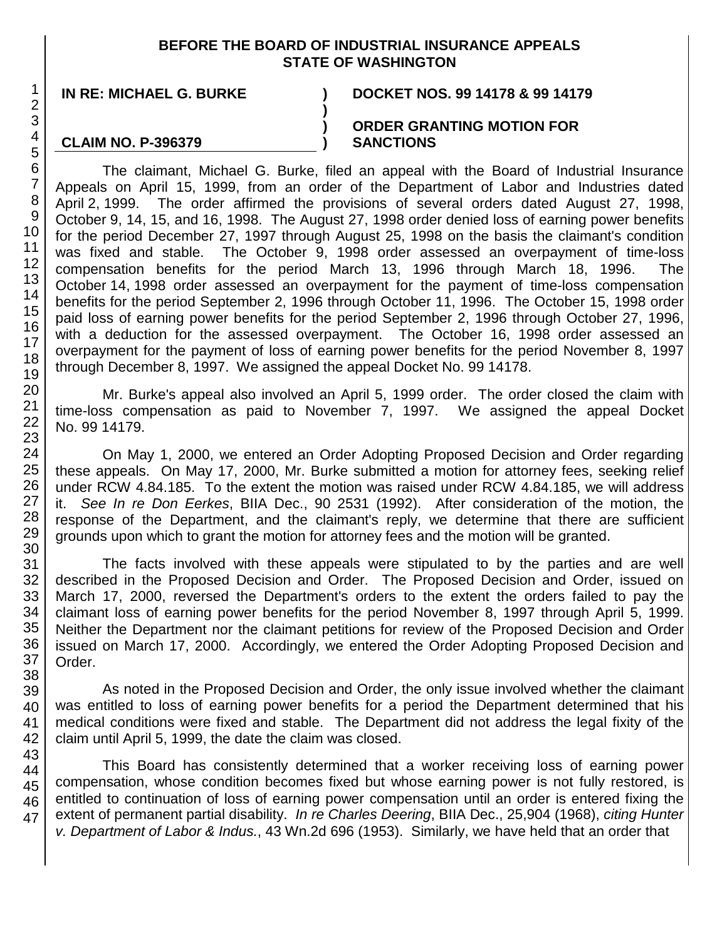### **BEFORE THE BOARD OF INDUSTRIAL INSURANCE APPEALS STATE OF WASHINGTON**

**) ) )**

### **CLAIM NO. P-396379**

**IN RE: MICHAEL G. BURKE ) DOCKET NOS. 99 14178 & 99 14179**

#### **ORDER GRANTING MOTION FOR SANCTIONS**

The claimant, Michael G. Burke, filed an appeal with the Board of Industrial Insurance Appeals on April 15, 1999, from an order of the Department of Labor and Industries dated April 2, 1999. The order affirmed the provisions of several orders dated August 27, 1998, October 9, 14, 15, and 16, 1998. The August 27, 1998 order denied loss of earning power benefits for the period December 27, 1997 through August 25, 1998 on the basis the claimant's condition was fixed and stable. The October 9, 1998 order assessed an overpayment of time-loss compensation benefits for the period March 13, 1996 through March 18, 1996. The October 14, 1998 order assessed an overpayment for the payment of time-loss compensation benefits for the period September 2, 1996 through October 11, 1996. The October 15, 1998 order paid loss of earning power benefits for the period September 2, 1996 through October 27, 1996, with a deduction for the assessed overpayment. The October 16, 1998 order assessed an overpayment for the payment of loss of earning power benefits for the period November 8, 1997 through December 8, 1997. We assigned the appeal Docket No. 99 14178.

Mr. Burke's appeal also involved an April 5, 1999 order. The order closed the claim with time-loss compensation as paid to November 7, 1997. We assigned the appeal Docket No. 99 14179.

On May 1, 2000, we entered an Order Adopting Proposed Decision and Order regarding these appeals. On May 17, 2000, Mr. Burke submitted a motion for attorney fees, seeking relief under RCW 4.84.185. To the extent the motion was raised under RCW 4.84.185, we will address it. *See In re Don Eerkes*, BIIA Dec., 90 2531 (1992). After consideration of the motion, the response of the Department, and the claimant's reply, we determine that there are sufficient grounds upon which to grant the motion for attorney fees and the motion will be granted.

The facts involved with these appeals were stipulated to by the parties and are well described in the Proposed Decision and Order. The Proposed Decision and Order, issued on March 17, 2000, reversed the Department's orders to the extent the orders failed to pay the claimant loss of earning power benefits for the period November 8, 1997 through April 5, 1999. Neither the Department nor the claimant petitions for review of the Proposed Decision and Order issued on March 17, 2000. Accordingly, we entered the Order Adopting Proposed Decision and Order.

As noted in the Proposed Decision and Order, the only issue involved whether the claimant was entitled to loss of earning power benefits for a period the Department determined that his medical conditions were fixed and stable. The Department did not address the legal fixity of the claim until April 5, 1999, the date the claim was closed.

This Board has consistently determined that a worker receiving loss of earning power compensation, whose condition becomes fixed but whose earning power is not fully restored, is entitled to continuation of loss of earning power compensation until an order is entered fixing the extent of permanent partial disability. *In re Charles Deering*, BIIA Dec., 25,904 (1968), *citing Hunter v. Department of Labor & Indus.*, 43 Wn.2d 696 (1953). Similarly, we have held that an order that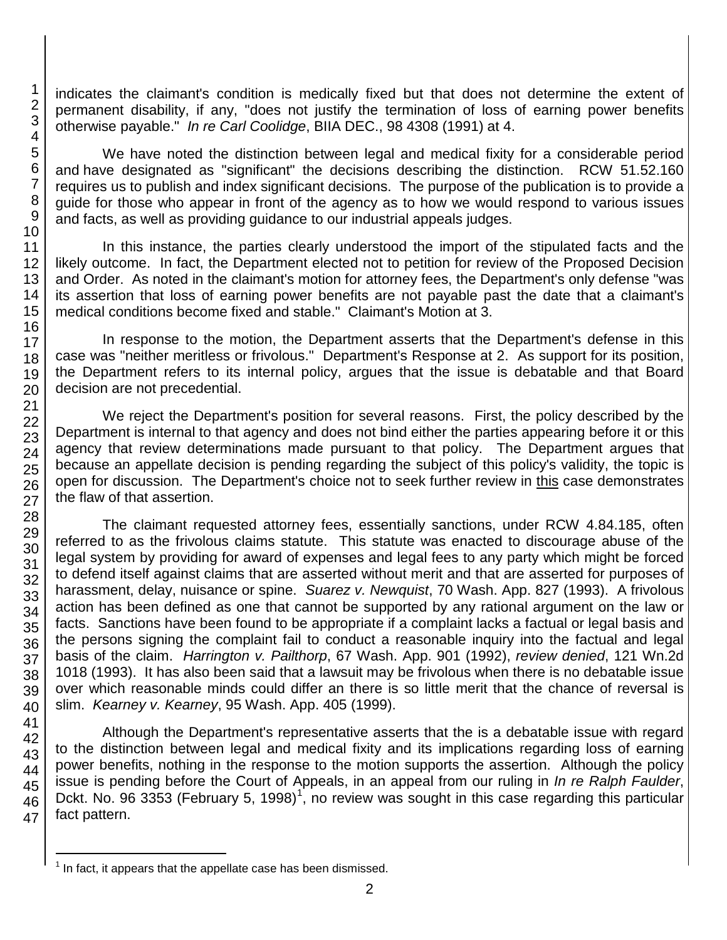indicates the claimant's condition is medically fixed but that does not determine the extent of permanent disability, if any, "does not justify the termination of loss of earning power benefits otherwise payable." *In re Carl Coolidge*, BIIA DEC., 98 4308 (1991) at 4.

We have noted the distinction between legal and medical fixity for a considerable period and have designated as "significant" the decisions describing the distinction. RCW 51.52.160 requires us to publish and index significant decisions. The purpose of the publication is to provide a guide for those who appear in front of the agency as to how we would respond to various issues and facts, as well as providing guidance to our industrial appeals judges.

In this instance, the parties clearly understood the import of the stipulated facts and the likely outcome. In fact, the Department elected not to petition for review of the Proposed Decision and Order. As noted in the claimant's motion for attorney fees, the Department's only defense "was its assertion that loss of earning power benefits are not payable past the date that a claimant's medical conditions become fixed and stable." Claimant's Motion at 3.

In response to the motion, the Department asserts that the Department's defense in this case was "neither meritless or frivolous." Department's Response at 2. As support for its position, the Department refers to its internal policy, argues that the issue is debatable and that Board decision are not precedential.

We reject the Department's position for several reasons. First, the policy described by the Department is internal to that agency and does not bind either the parties appearing before it or this agency that review determinations made pursuant to that policy. The Department argues that because an appellate decision is pending regarding the subject of this policy's validity, the topic is open for discussion. The Department's choice not to seek further review in this case demonstrates the flaw of that assertion.

The claimant requested attorney fees, essentially sanctions, under RCW 4.84.185, often referred to as the frivolous claims statute. This statute was enacted to discourage abuse of the legal system by providing for award of expenses and legal fees to any party which might be forced to defend itself against claims that are asserted without merit and that are asserted for purposes of harassment, delay, nuisance or spine. *Suarez v. Newquist*, 70 Wash. App. 827 (1993). A frivolous action has been defined as one that cannot be supported by any rational argument on the law or facts. Sanctions have been found to be appropriate if a complaint lacks a factual or legal basis and the persons signing the complaint fail to conduct a reasonable inquiry into the factual and legal basis of the claim. *Harrington v. Pailthorp*, 67 Wash. App. 901 (1992), *review denied*, 121 Wn.2d 1018 (1993). It has also been said that a lawsuit may be frivolous when there is no debatable issue over which reasonable minds could differ an there is so little merit that the chance of reversal is slim. *Kearney v. Kearney*, 95 Wash. App. 405 (1999).

Although the Department's representative asserts that the is a debatable issue with regard to the distinction between legal and medical fixity and its implications regarding loss of earning power benefits, nothing in the response to the motion supports the assertion. Although the policy issue is pending before the Court of Appeals, in an appeal from our ruling in *In re Ralph Faulder*, Dckt. No. 96 3353 (February 5, [1](#page-2-0)998)<sup>1</sup>, no review was sought in this case regarding this particular fact pattern.

<span id="page-2-0"></span> $1$  In fact, it appears that the appellate case has been dismissed.